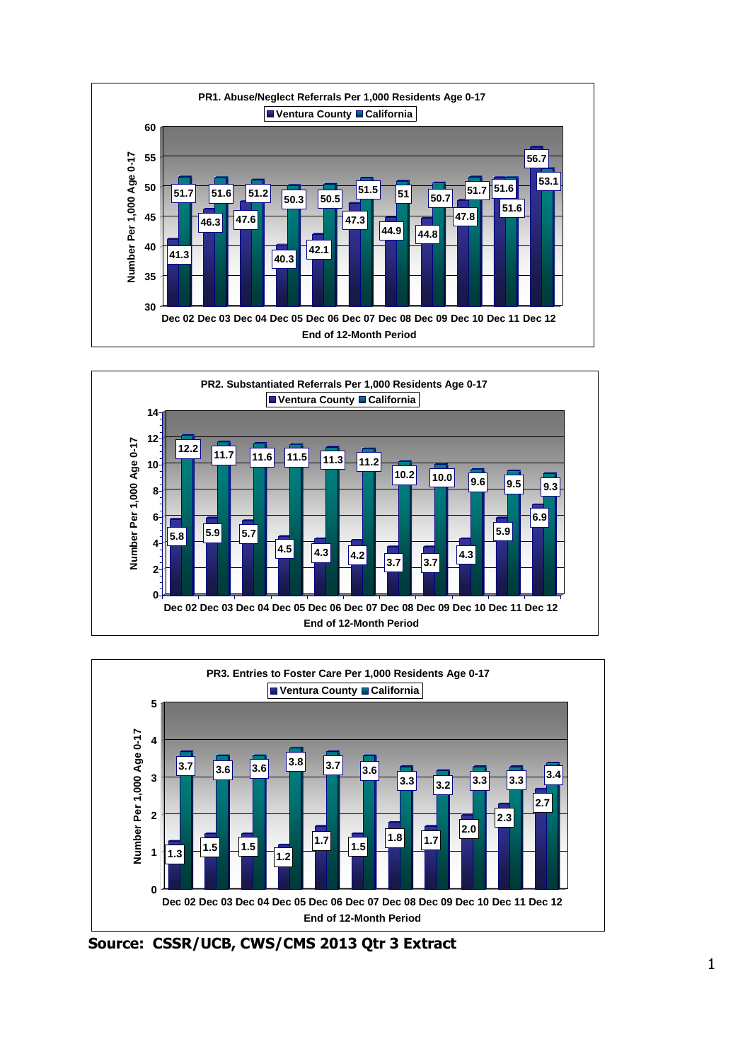





**Source: CSSR/UCB, CWS/CMS 2013 Qtr 3 Extract**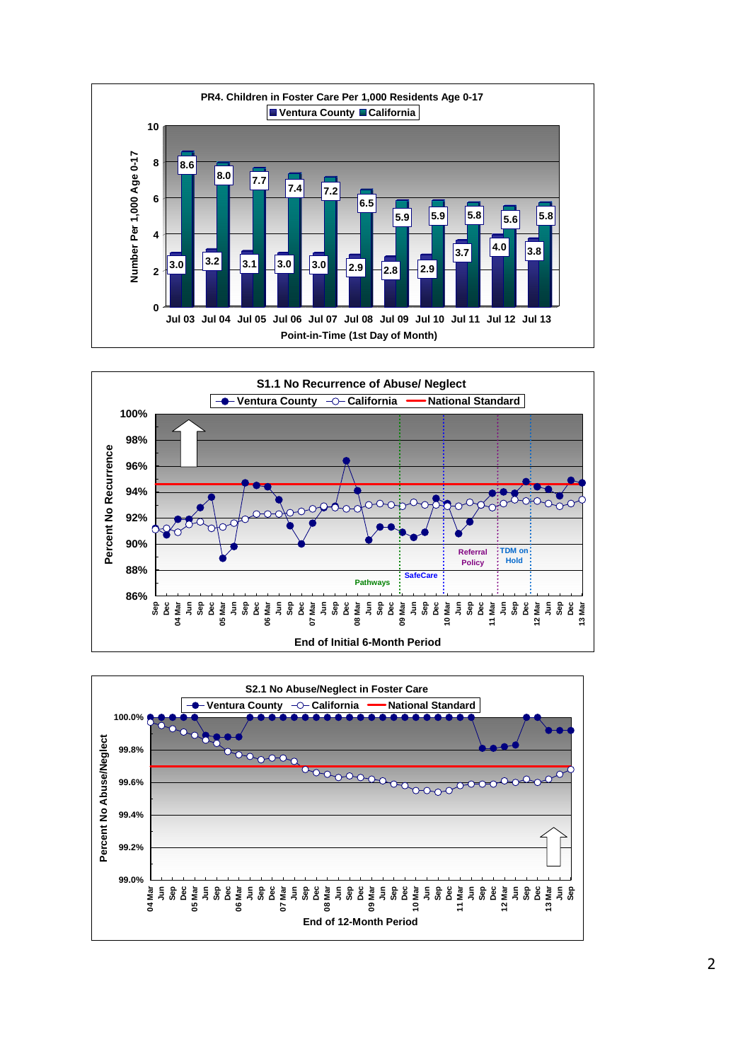



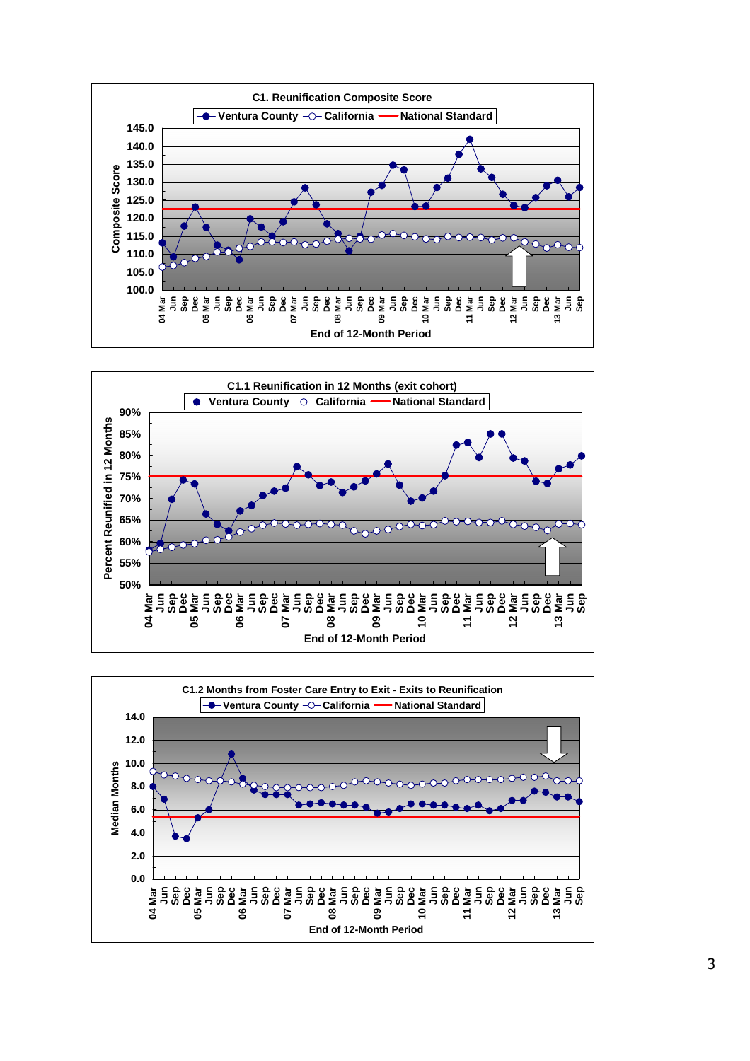



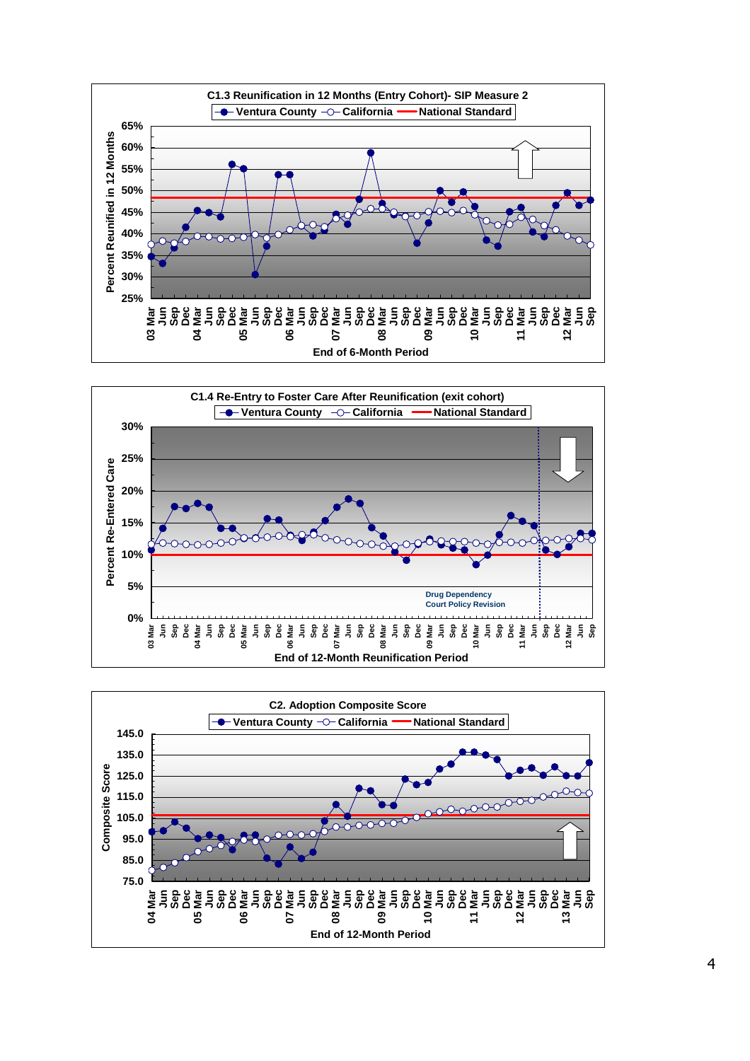



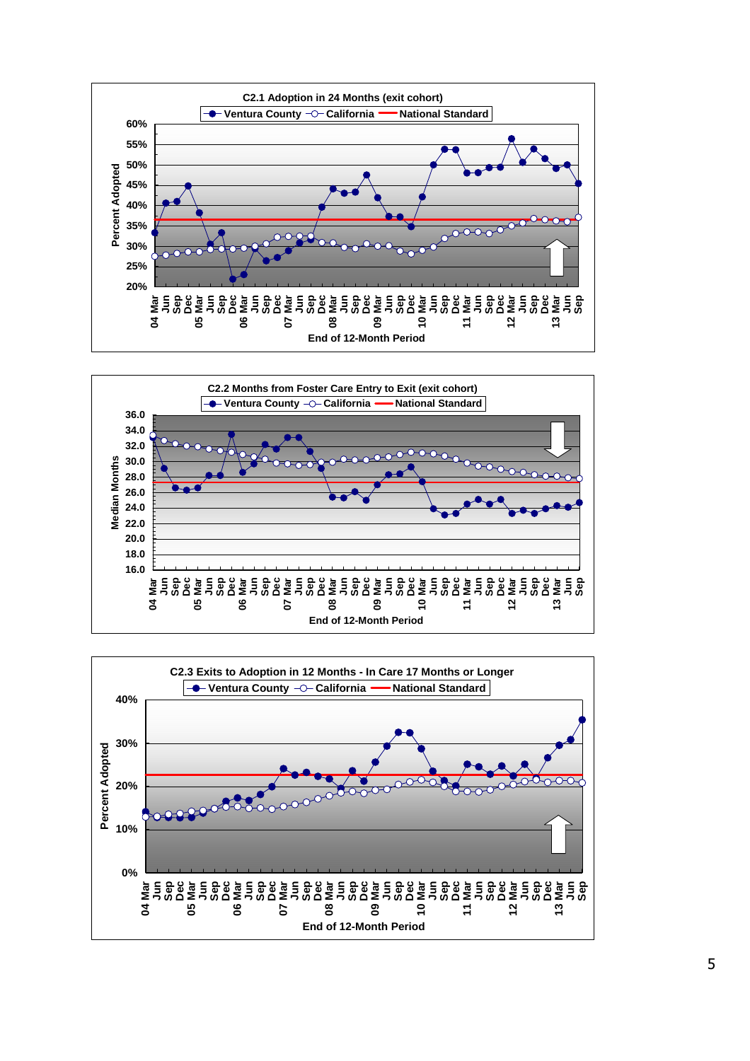



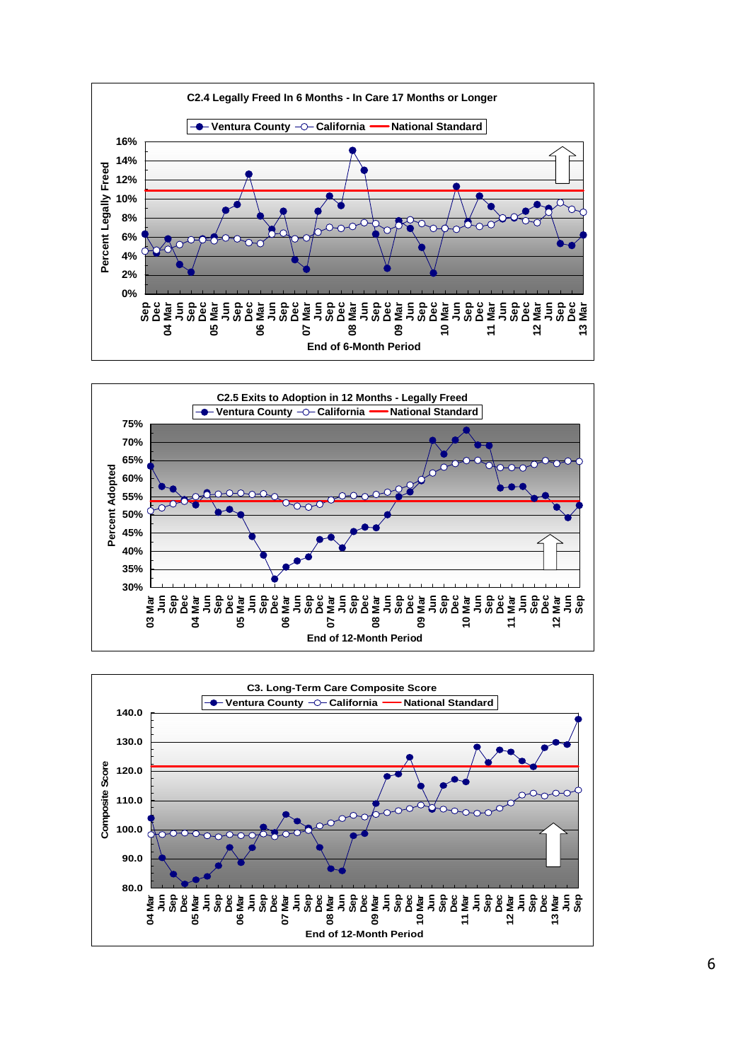



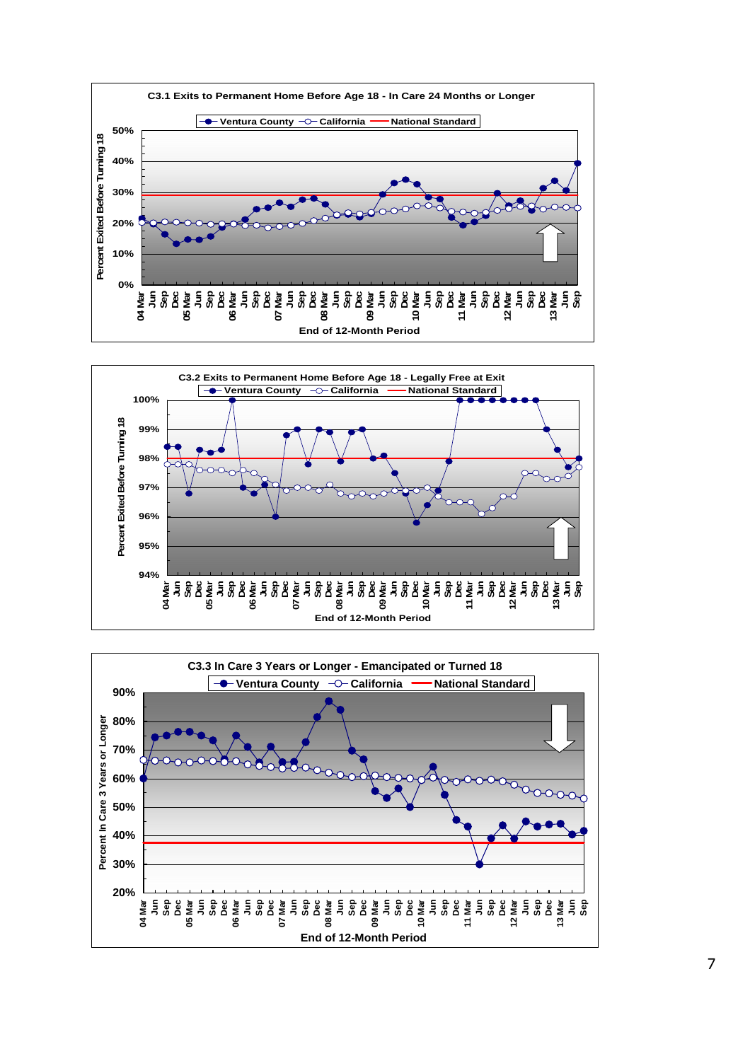



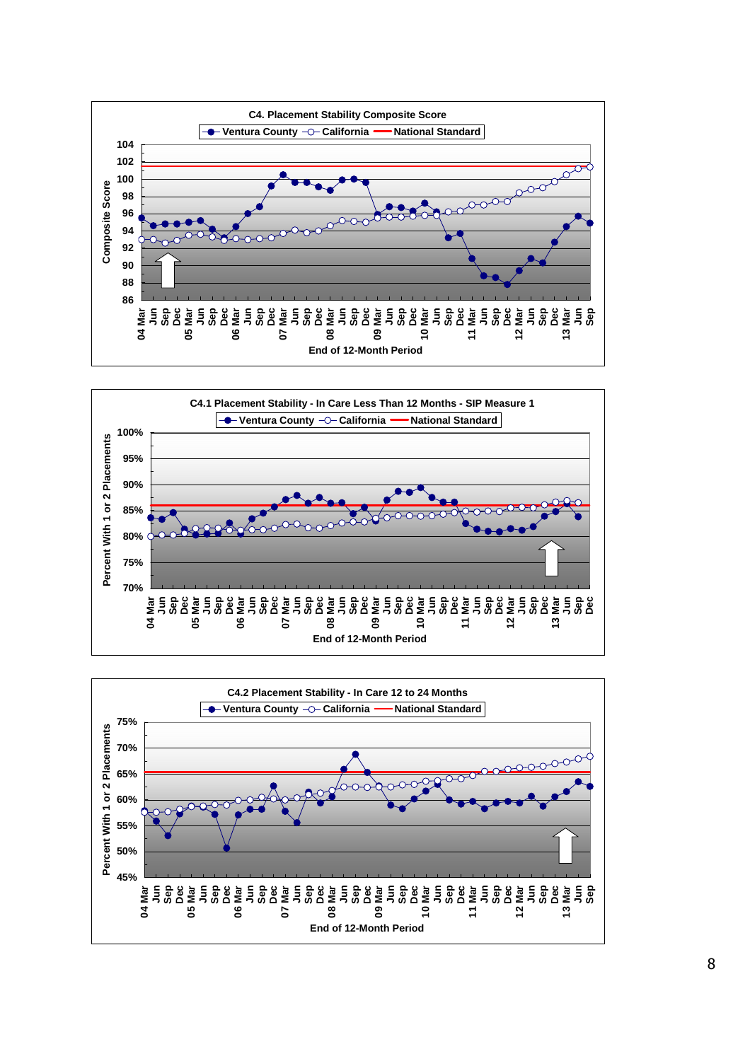



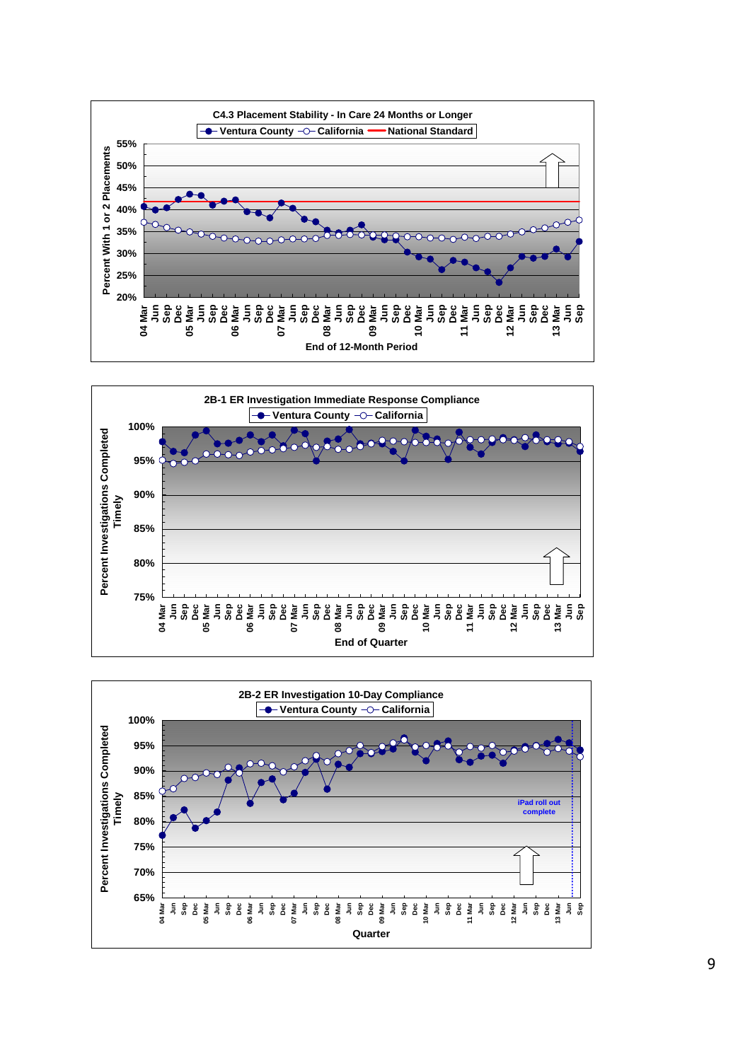



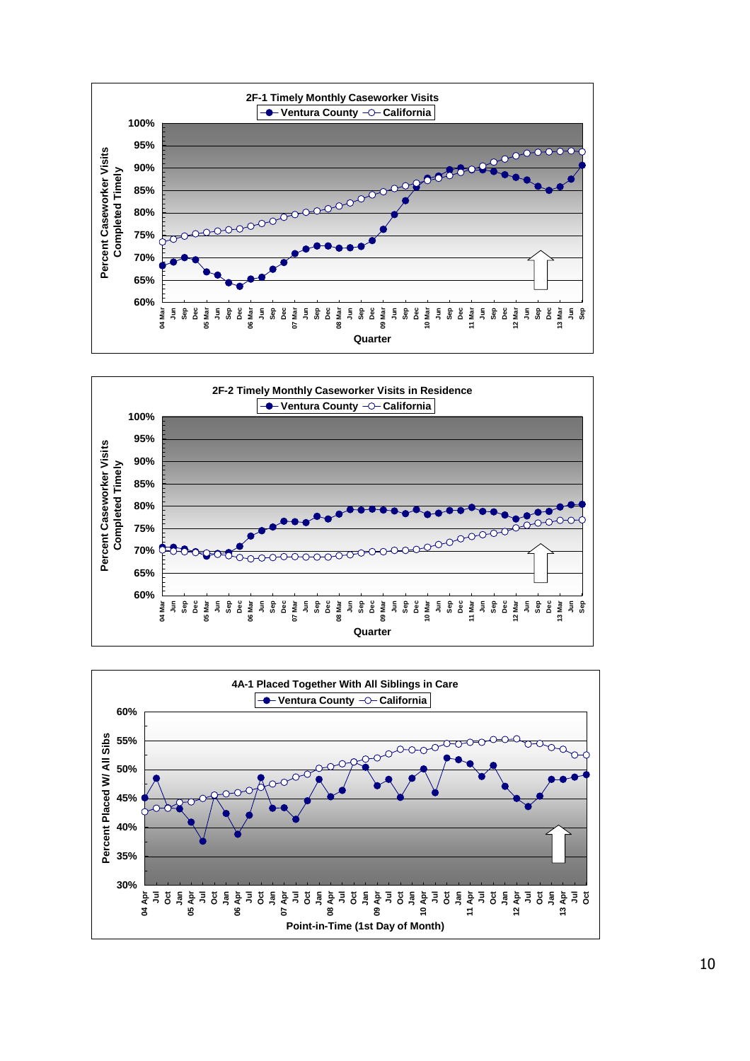



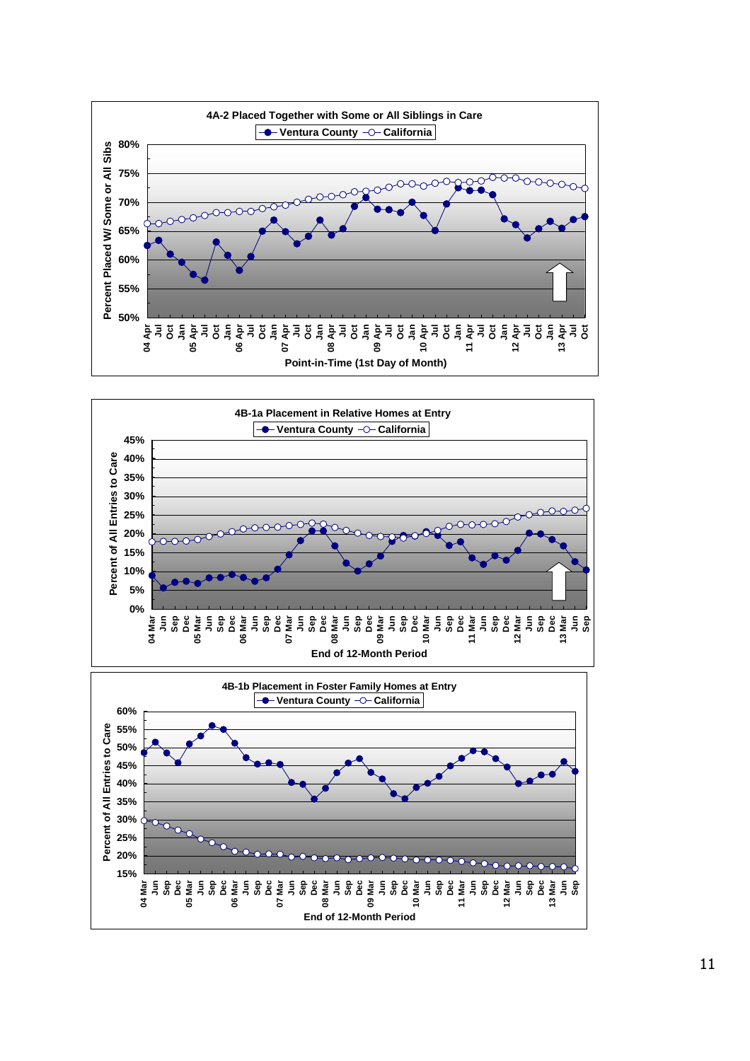



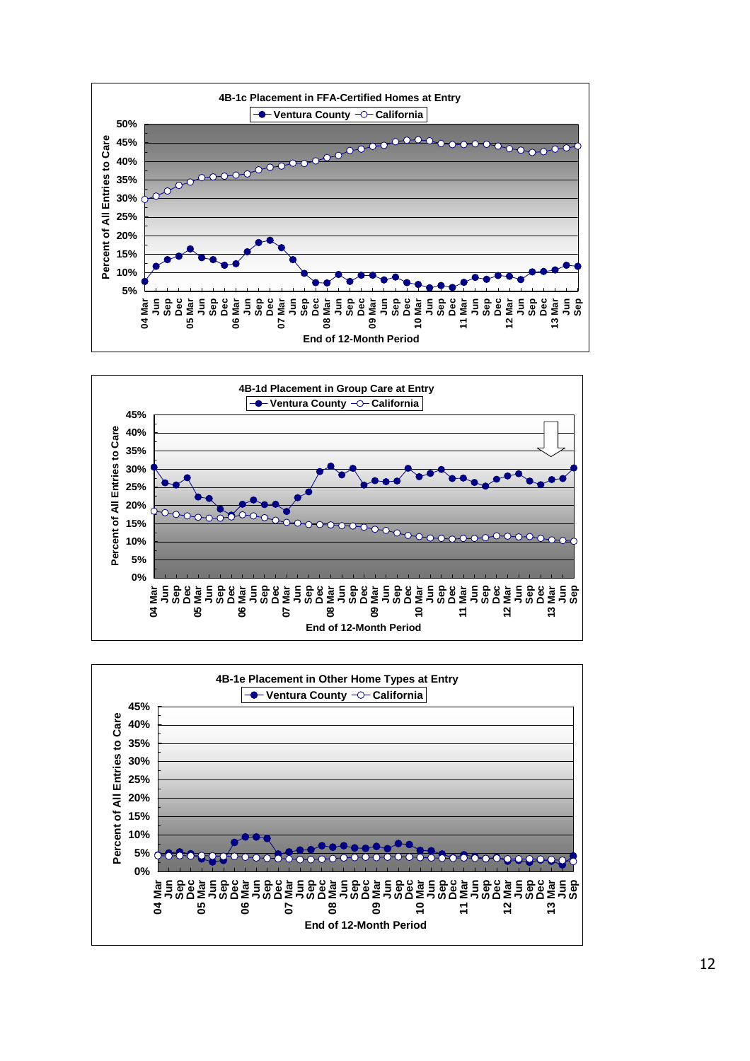



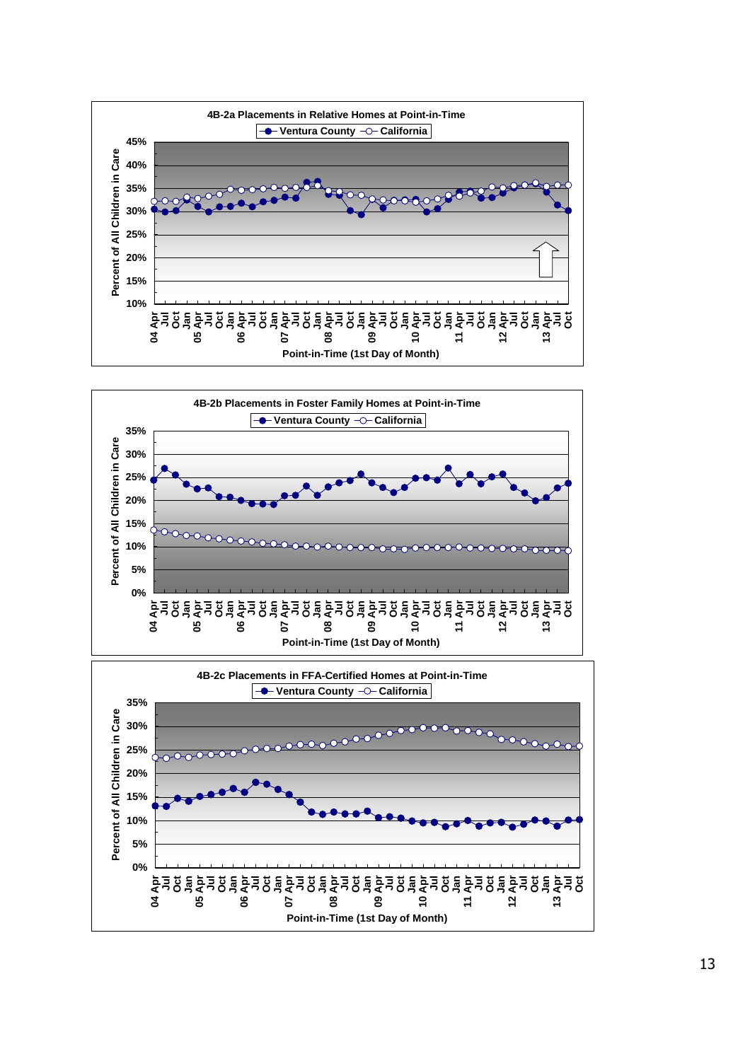



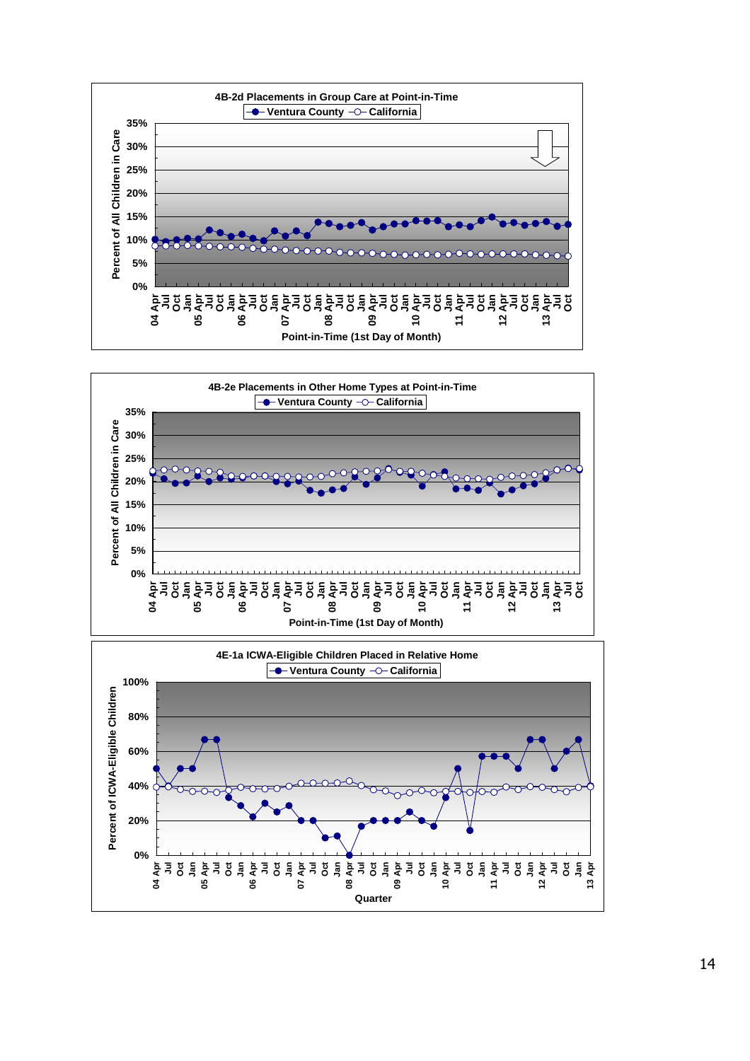



**04 Apr Jul Oct Jan 05 Apr Jul Oct Jan 06 Apr Jul Oct Jan 07 Apr Jul Oct Jan 08 Apr Jul Oct Jan 09 Apr Jul Oct Jan 10 Apr Jul Oct Jan 11 Apr Jul Oct Jan 12 Apr Jul Oct Jan 13 Apr Quarter**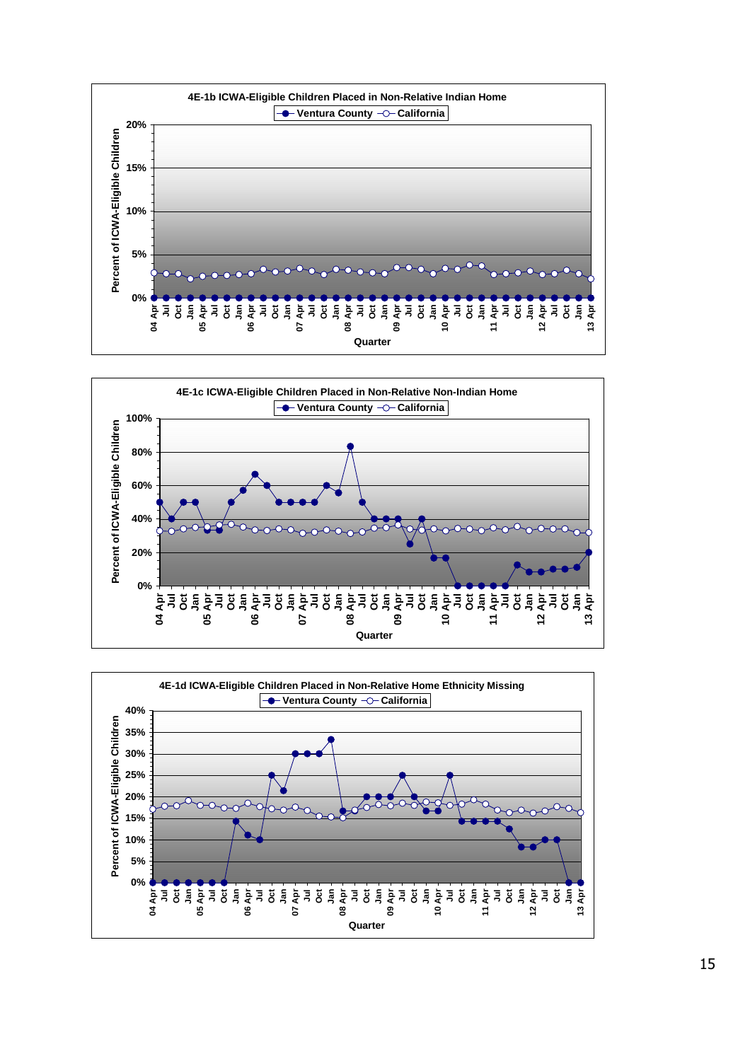



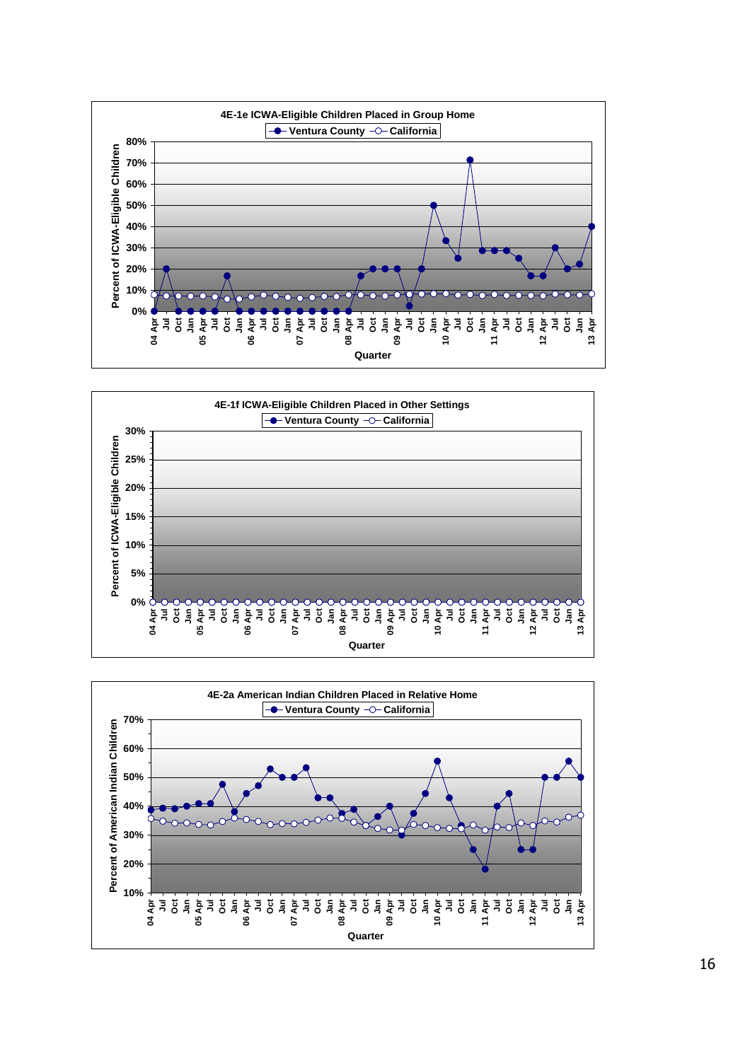





16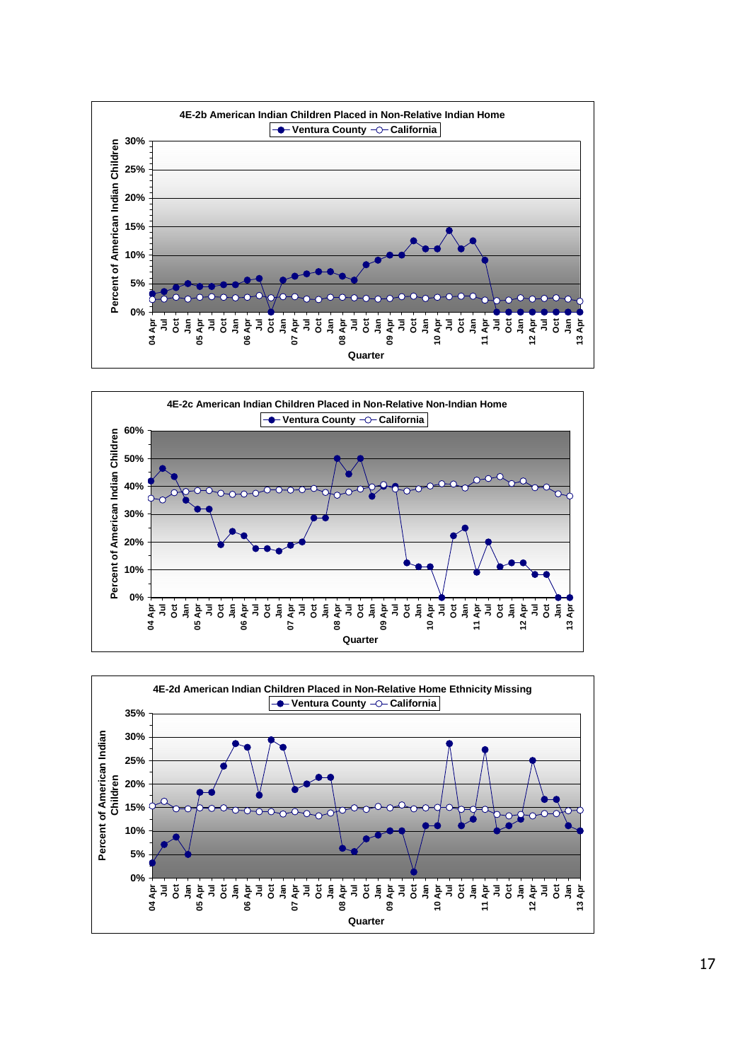



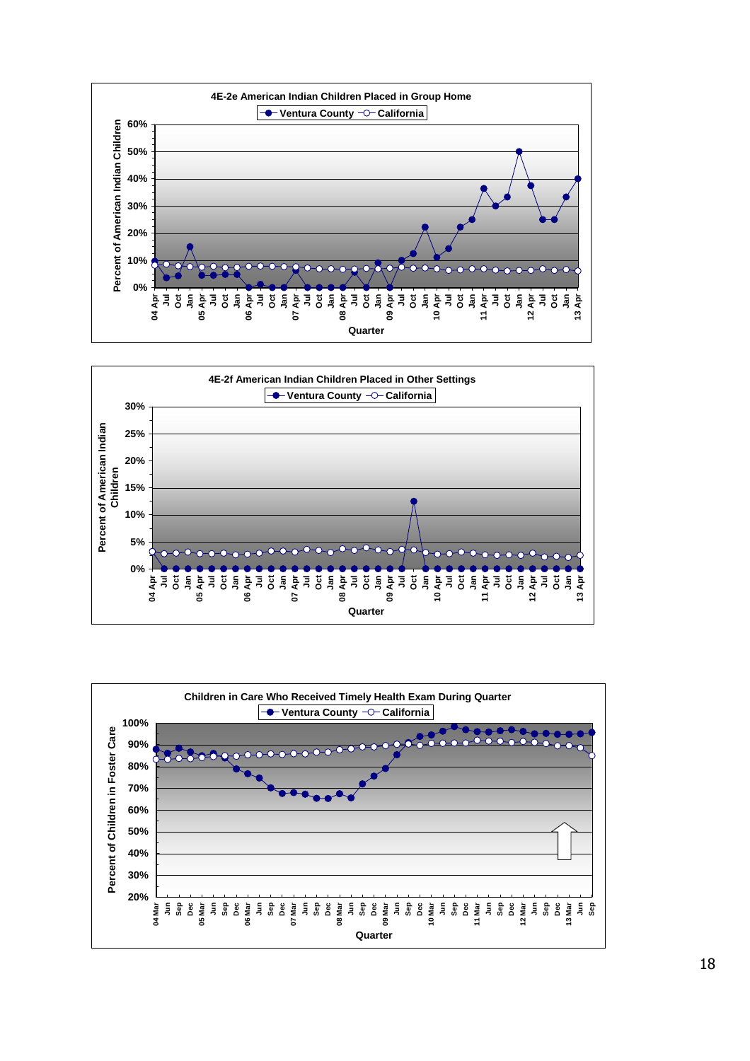